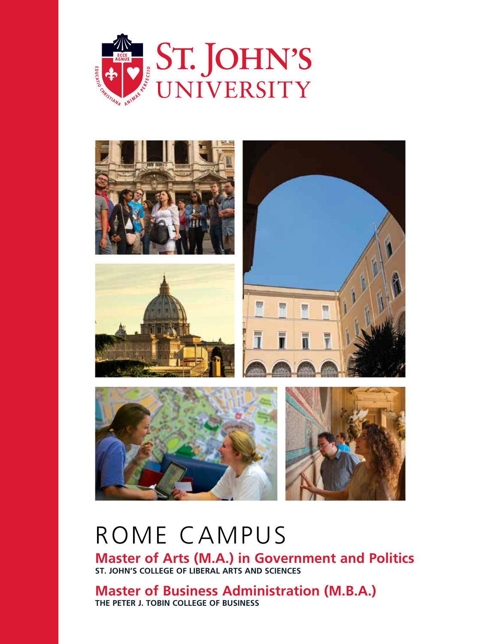



# Rome Campus

**Master of Arts (M.A.) in Government and Politics ST. JOHN'S COLLEGE OF LIBERAL ARTS AND SCIENCES**

**Master of Business Administration (M.B.A.) THE PETER J. TOBIN COLLEGE OF BUSINESS**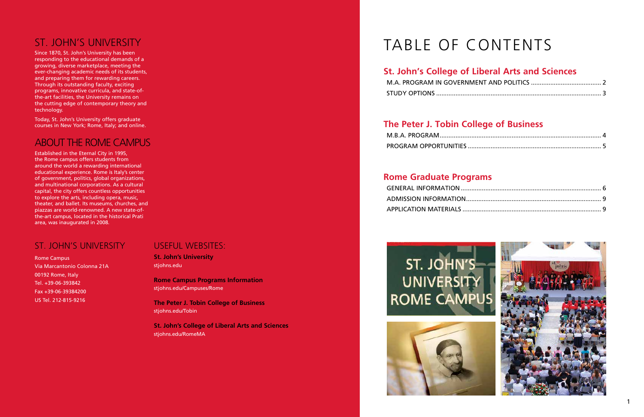**St. John's University** stjohns.edu

**Rome Campus Programs Information** stjohns.edu/Campuses/Rome

**The Peter J. Tobin College of Business** stjohns.edu/Tobin

**St. John's College of Liberal Arts and Sciences** stjohns.edu/RomeMA

## St. John's University

Since 1870, St. John's University has been responding to the educational demands of a growing, diverse marketplace, meeting the ever-changing academic needs of its students, and preparing them for rewarding careers. Through its outstanding faculty, exciting programs, innovative curricula, and state-ofthe-art facilities, the University remains on the cutting edge of contemporary theory and technology.

Today, St. John's University offers graduate courses in New York; Rome, Italy; and online.

### About the Rome Campus

Established in the Eternal City in 1995, the Rome campus offers students from around the world a rewarding international educational experience. Rome is Italy's center of government, politics, global organizations, and multinational corporations. As a cultural capital, the city offers countless opportunities to explore the arts, including opera, music, theater, and ballet. Its museums, churches, and piazzas are world-renowned. A new state-ofthe-art campus, located in the historical Prati area, was inaugurated in 2008.

### St. John's University

Rome Campus Via Marcantonio Colonna 21A 00192 Rome, Italy Tel. +39-06-393842 Fax +39-06-39384200 US Tel. 212-815-9216

### USEFUL WEBSITES:

## **St. John's College of Liberal Arts and Sciences**

M.A. PROGRAM IN GOVERNM **STUDY OPTIONS ......................** 

### **The Peter J. Tobin College of Business**

M.B.A. PROGRAM.................... PROGRAM OPPORTUNITIES ...

### **Rome Graduate Programs**

GENERAL INFORMATION ......... ADMISSION INFORMATION.... APPLICATION MATERIALS .......







# TABLE OF CONTENTS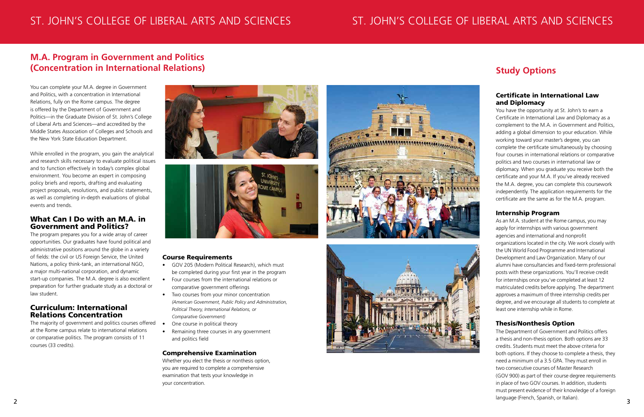## St. John's College of Liberal Arts and Sciences St. John's College of Liberal Arts and Sciences

You can complete your M.A. degree in Government and Politics, with a concentration in International Relations, fully on the Rome campus. The degree is offered by the Department of Government and Politics—in the Graduate Division of St. John's College of Liberal Arts and Sciences—and accredited by the Middle States Association of Colleges and Schools and the New York State Education Department.

While enrolled in the program, you gain the analytical and research skills necessary to evaluate political issues and to function effectively in today's complex global environment. You become an expert in composing policy briefs and reports, drafting and evaluating project proposals, resolutions, and public statements, as well as completing in-depth evaluations of global events and trends.

### What Can I Do with an M.A. in Government and Politics?

The program prepares you for a wide array of career opportunities. Our graduates have found political and administrative positions around the globe in a variety of fields: the civil or US Foreign Service, the United Nations, a policy think-tank, an international NGO, a major multi-national corporation, and dynamic start-up companies. The M.A. degree is also excellent preparation for further graduate study as a doctoral or law student.

### Curriculum: International Relations Concentration

The majority of government and politics courses offered at the Rome campus relate to international relations or comparative politics. The program consists of 11 courses (33 credits).





#### Course Requirements

The Department of Government and Politics offers a thesis and non-thesis option. Both options are 33 credits. Students must meet the above criteria for both options. If they choose to complete a thesis, they need a minimum of a 3.5 GPA. They must enroll in two consecutive courses of Master Research (GOV 900) as part of their course degree requirements in place of two GOV courses. In addition, students must present evidence of their knowledge of a foreign language (French, Spanish, or Italian).  $2<sup>1</sup>$  anguage (including Demonstration).

- • GOV 205 (Modern Political Research), which must be completed during your first year in the program
- • Four courses from the international relations or comparative government offerings
- • Two courses from your minor concentration *(American Government, Public Policy and Administration, Political Theory, International Relations, or Comparative Government)*
- One course in political theory
- Remaining three courses in any government and politics field

#### Comprehensive Examination

Whether you elect the thesis or nonthesis option, you are required to complete a comprehensive examination that tests your knowledge in your concentration.





#### Certificate in International Law and Diplomacy

You have the opportunity at St. John's to earn a Certificate in International Law and Diplomacy as a complement to the M.A. in Government and Politics, adding a global dimension to your education. While working toward your master's degree, you can complete the certificate simultaneously by choosing four courses in international relations or comparative politics and two courses in international law or diplomacy. When you graduate you receive both the certificate and your M.A. If you've already received the M.A. degree, you can complete this coursework independently. The application requirements for the certificate are the same as for the M.A. program.

#### Internship Program

As an M.A. student at the Rome campus, you may apply for internships with various government agencies and international and nonprofit organizations located in the city. We work closely with the UN World Food Programme and International Development and Law Organization. Many of our alumni have consultancies and fixed-term professional posts with these organizations. You'll receive credit for internships once you've completed at least 12 matriculated credits before applying. The department approves a maximum of three internship credits per degree, and we encourage all students to complete at least one internship while in Rome.

#### Thesis/Nonthesis Option

### **M.A. Program in Government and Politics (Concentration in International Relations) Study Options**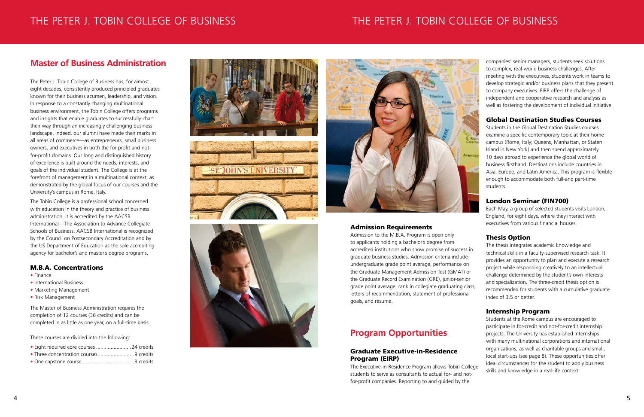#### Admission Requirements

Admission to the M.B.A. Program is open only to applicants holding a bachelor's degree from accredited institutions who show promise of success in graduate business studies. Admission criteria include undergraduate grade point average, performance on the Graduate Management Admission Test (GMAT) or the Graduate Record Examination (GRE), junior-senior grade point average, rank in collegiate graduating class, letters of recommendation, statement of professional goals, and résumé.

### **Program Opportunities**

#### Graduate Executive-in-Residence Program (EIRP)

The Executive-in-Residence Program allows Tobin College students to serve as consultants to actual for- and notfor-profit companies. Reporting to and guided by the

companies' senior managers, students seek solutions to complex, real-world business challenges. After meeting with the executives, students work in teams to develop strategic and/or business plans that they present to company executives. EIRP offers the challenge of independent and cooperative research and analysis as well as fostering the development of individual initiative.

#### Global Destination Studies Courses

Students in the Global Destination Studies courses examine a specific contemporary topic at their home campus (Rome, Italy; Queens, Manhattan, or Staten Island in New York) and then spend approximately 10 days abroad to experience the global world of business firsthand. Destinations include countries in Asia, Europe, and Latin America. This program is flexible enough to accommodate both full-and part-time students.

#### London Seminar (FIN700)

Each May, a group of selected students visits London, England, for eight days, where they interact with executives from various financial houses.

#### Thesis Option

The thesis integrates academic knowledge and technical skills in a faculty-supervised research task. It provides an opportunity to plan and execute a research project while responding creatively to an intellectual challenge determined by the student's own interests and specialization. The three-credit thesis option is recommended for students with a cumulative graduate index of 3.5 or better.

#### Internship Program

Students at the Rome campus are encouraged to participate in for-credit and not-for-credit internship projects. The University has established internships with many multinational corporations and international organizations, as well as charitable groups and small, local start-ups (see page 8). These opportunities offer ideal circumstances for the student to apply business skills and knowledge in a real-life context.

## THE PETER J. TOBIN COLLEGE OF BUSINESS THE PETE THE PETE

## j. tobin college of business

The Peter J. Tobin College of Business has, for almost eight decades, consistently produced principled graduates known for their business acumen, leadership, and vision. In response to a constantly changing multinational business environment, the Tobin College offers programs and insights that enable graduates to successfully chart their way through an increasingly challenging business landscape. Indeed, our alumni have made their marks in all areas of commerce—as entrepreneurs, small business owners, and executives in both the for-profit and notfor-profit domains. Our long and distinguished history of excellence is built around the needs, interests, and goals of the individual student. The College is at the forefront of management in a multinational context, as demonstrated by the global focus of our courses and the University's campus in Rome, Italy.

The Tobin College is a professional school concerned with education in the theory and practice of business administration. It is accredited by the AACSB International—The Association to Advance Collegiate Schools of Business. AACSB International is recognized by the Council on Postsecondary Accreditation and by the US Department of Education as the sole accrediting agency for bachelor's and master's degree programs.

#### M.B.A. Concentrations

- Finance
- International Business
- Marketing Management
- Risk Management

The Master of Business Administration requires the completion of 12 courses (36 credits) and can be completed in as little as one year, on a full-time basis.

These courses are divided into the following:

- Eight required core courses ........................24 credits
- Three concentration courses.........................9 credits
- One capstone course....................................3 credits









### **Master of Business Administration**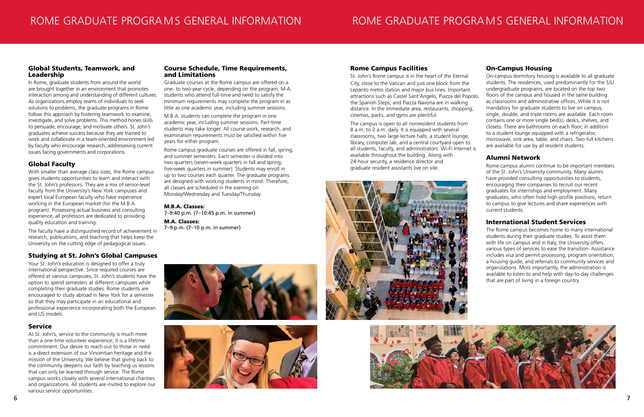#### Global Students, Teamwork, and Leadership

In Rome, graduate students from around the world are brought together in an environment that promotes interaction among and understanding of different cultures. As organizations employ teams of individuals to seek solutions to problems, the graduate programs in Rome follow this approach by fostering teamwork to examine, investigate, and solve problems. This method hones skills to persuade, encourage, and motivate others. St. John's graduates achieve success because they are trained to work and collaborate in a team-oriented environment led by faculty who encourage research, addressesing current issues facing governments and corporations.

### Global Faculty

With smaller than average class sizes, the Rome campus gives students opportunities to learn and interact with the St. John's professors. They are a mix of senior-level faculty from the University's New York campuses and expert local European faculty who have experience working in the European market (for the M.B.A. program). Possessing actual business and consulting experience, all professors are dedicated to providing quality education and training.

The faculty have a distinguished record of achievement in research, publications, and teaching that helps keep the University on the cutting edge of pedagogical issues.

#### Studying at St. John's Global Campuses

Your St. John's education is designed to offer a truly international perspective. Since required courses are offered at various campuses, St. John's students have the option to spend semesters at different campuses while completing their graduate studies. Rome students are encouraged to study abroad in New York for a semester so that they may participate in an educational and professional experience incorporating both the European and US models.

#### Service

At St. John's, service to the community is much more than a one-time volunteer experience; it is a lifetime commitment. Our desire to reach out to those in need is a direct extension of our Vincentian heritage and the mission of the University. We believe that giving back to the community deepens our faith by teaching us lessons that can only be learned through service. The Rome campus works closely with several international charities and organizations. All students are invited to explore our various service opportunities.

#### Course Schedule, Time Requirements, and Limitations

Graduate courses at the Rome campus are offered on a one- to two-year cycle, depending on the program. M.A. students who attend full-time and need to satisfy the minimum requirements may complete the program in as little as one academic year, including summer sessions.

M.B.A. students can complete the program in one academic year, including summer sessions. Part-time students may take longer. All course work, research, and examination requirements must be satisfied within five years for either program.

Rome campus graduate courses are offered in fall, spring, and summer semesters. Each semester is divided into two quarters (seven-week quarters in fall and spring; five-week quarters in summer). Students may enroll in up to two courses each quarter. The graduate programs are designed with working students in mind. Therefore, all classes are scheduled in the evening on Monday/Wednesday and Tuesday/Thursday.

#### M.B.A. Classes:

7–9:40 p.m. (7–10:45 p.m. in summer)

M.A. Classes: 7–9 p.m. (7–10 p.m. in summer)





#### Rome Campus Facilities

St. John's Rome campus is in the heart of the Eternal City, close to the Vatican and just one block from the Lepanto metro station and major bus lines. Important attractions such as Castel Sant'Angelo, Piazza del Popolo, the Spanish Steps, and Piazza Navona are in walking distance. In the immediate area, restaurants, shopping, cinemas, parks, and gyms are plentiful. The campus is open to all nonresident students from 8 a.m. to 2 a.m. daily. It is equipped with several classrooms, two large lecture halls, a student lounge, library, computer lab, and a central courtyard open to On-campus dormitory housing is available to all graduate students. The residences, used predominantly for the SJU undergraduate programs, are located on the top two floors of the campus and housed in the same building as classrooms and administrative offices. While it is not mandatory for graduate students to live on campus, single, double, and triple rooms are available. Each room contains one or more single bed(s), desks, shelves, and closets. There are bathrooms on each floor, in addition to a student lounge equipped with a refrigerator, microwave, sink area, table, and chairs. Two full kitchens are available for use by all resident students.

#### On-Campus Housing

all students, faculty, and administrators. Wi-Fi Internet is available throughout the building. Along with 24-hour security, a residence director and graduate resident assistants live on site. Alumni Network Rome campus alumni continue to be important members





of the St. John's University community. Many alumni have provided consulting opportunities to students, encouraging their companies to recruit our recent graduates for internships and employment. Many graduates, who often hold high-profile positions, return to campus to give lectures and share experiences with current students.

#### International Student Services

The Rome campus becomes home to many international students during their graduate studies. To assist them with life on campus and in Italy, the University offers various types of services to ease the transition. Assistance includes visa and permit processing, program orientation, a housing guide, and referrals to community services and organizations. Most importantly, the administration is available to listen to and help with day-to-day challenges that are part of living in a foreign country.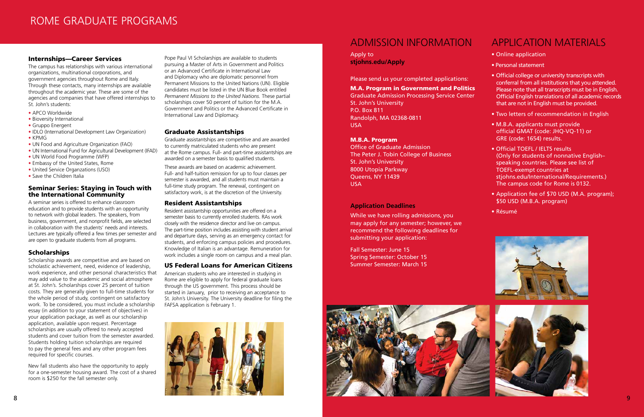#### Internships—Career Services

The campus has relationships with various international organizations, multinational corporations, and government agencies throughout Rome and Italy. Through these contacts, many internships are available throughout the academic year. These are some of the agencies and companies that have offered internships to St. John's students:

- APCO Worldwide
- Bioversity International
- Gruppo Energent
- IDLO (International Development Law Organization)
- KPMG
- UN Food and Agriculture Organization (FAO)
- UN International Fund for Agricultural Development (IFAD)
- UN World Food Programme (WFP)
- Embassy of the United States, Rome
- United Service Organzations (USO)
- Save the Children Italia

#### Seminar Series: Staying in Touch with the International Community

A seminar series is offered to enhance classroom education and to provide students with an opportunity to network with global leaders. The speakers, from business, government, and nonprofit fields, are selected in collaboration with the students' needs and interests. Lectures are typically offered a few times per semester and are open to graduate students from all programs.

#### **Scholarships**

Scholarship awards are competitive and are based on scholastic achievement, need, evidence of leadership, work experience, and other personal characteristics that may add value to the academic and social atmosphere at St. John's. Scholarships cover 25 percent of tuition costs. They are generally given to full-time students for the whole period of study, contingent on satisfactory work. To be considered, you must include a scholarship essay (in addition to your statement of objectives) in your application package, as well as our scholarship application, available upon request. Percentage scholarships are usually offered to newly accepted students and cover tuition from the semester awarded. Students holding tuition scholarships are required to pay the general fees and any other program fees required for specific courses.

Graduate Admission Processing Service Center St. John's University P.O. Box 811 Randolph, MA 02368-0811 **USA** 

New fall students also have the opportunity to apply for a one-semester housing award. The cost of a shared room is \$250 for the fall semester only.

Pope Paul VI Scholarships are available to students pursuing a Master of Arts in Government and Politics or an Advanced Certificate in International Law and Diplomacy who are diplomatic personnel from Permanent Missions to the United Nations (UN). Eligible candidates must be listed in the UN Blue Book entitled *Permanent Missions to the United Nations.* These partial scholarships cover 50 percent of tuition for the M.A. Government and Politics or the Advanced Certificate in International Law and Diplomacy.

#### Graduate Assistantships

Graduate assistantships are competitive and are awarded to currently matriculated students who are present at the Rome campus. Full- and part-time assistantships are awarded on a semester basis to qualified students.

These awards are based on academic achievement. Full- and half-tuition remission for up to four classes per semester is awarded, and all students must maintain a full-time study program. The renewal, contingent on satisfactory work, is at the discretion of the University.

#### Resident Assistantships

Resident assistantship opportunities are offered on a semester basis to currently enrolled students. RAs work closely with the residence director and live on campus. The part-time position includes assisting with student arrival and departure days, serving as an emergency contact for students, and enforcing campus policies and procedures. Knowledge of Italian is an advantage. Remuneration for work includes a single room on campus and a meal plan.

#### US Federal Loans for American Citizens

American students who are interested in studying in Rome are eligible to apply for federal graduate loans through the US government. This process should be started in January, prior to receiving an acceptance to St. John's University. The University deadline for filing the FAFSA application is February 1.



### ADMISSION INFORMATION

Apply to **stjohns.edu/Apply**

Please send us your completed applications:

#### M.A. Program in Government and Politics

#### M.B.A. Program

Office of Graduate Admission The Peter J. Tobin College of Business St. John's University 8000 Utopia Parkway Queens, NY 11439 USA

#### **Application Deadlines**

While we have rolling admissions, you may apply for any semester; however, we recommend the following deadlines for submitting your application:

Fall Semester: June 15 Spring Semester: October 15 Summer Semester: March 15

### Application Materials

- Online application
- Personal statement
- Official college or university transcripts with conferral from all institutions that you attended. Please note that all transcripts must be in English. Official English translations of all academic records that are not in English must be provided.
- Two letters of recommendation in English
- M.B.A. applicants must provide official GMAT (code: JHQ-VQ-11) or GRE (code: 1654) results.
- Official TOEFL / IELTS results (Only for students of nonnative English– speaking countries. Please see list of TOEFL-exempt countries at stjohns.edu/International/Requirements.) The campus code for Rome is 0132.
- Application fee of \$70 USD (M.A. program); \$50 USD (M.B.A. program)
- Résumé